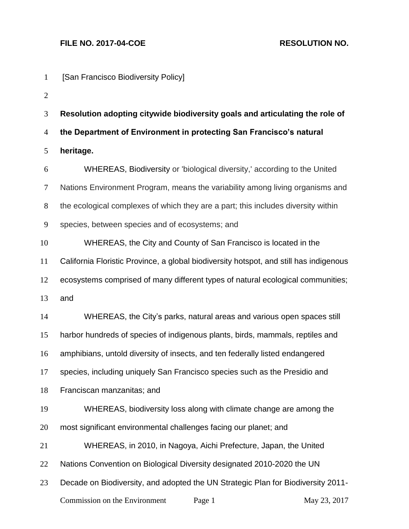Commission on the Environment Page 1 May 23, 2017 [San Francisco Biodiversity Policy] **Resolution adopting citywide biodiversity goals and articulating the role of the Department of Environment in protecting San Francisco's natural heritage.** WHEREAS, Biodiversity or 'biological diversity,' according to the United Nations Environment Program, means the variability among living organisms and the ecological complexes of which they are a part; this includes diversity within species, between species and of ecosystems; and WHEREAS, the City and County of San Francisco is located in the California Floristic Province, a global biodiversity hotspot, and still has indigenous ecosystems comprised of many different types of natural ecological communities; and WHEREAS, the City's parks, natural areas and various open spaces still harbor hundreds of species of indigenous plants, birds, mammals, reptiles and amphibians, untold diversity of insects, and ten federally listed endangered species, including uniquely San Francisco species such as the Presidio and Franciscan manzanitas; and WHEREAS, biodiversity loss along with climate change are among the most significant environmental challenges facing our planet; and WHEREAS, in 2010, in Nagoya, Aichi Prefecture, Japan, the United Nations Convention on Biological Diversity designated 2010-2020 the UN Decade on Biodiversity, and adopted the UN Strategic Plan for Biodiversity 2011-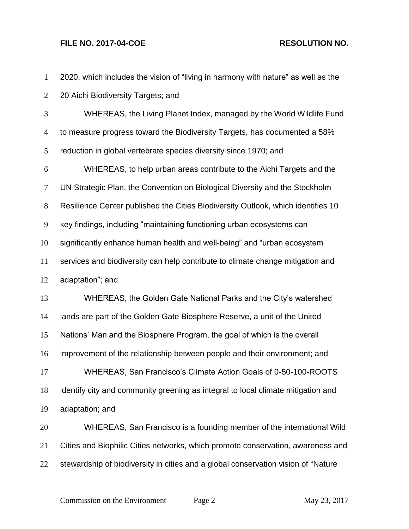| $\mathbf{1}$     | 2020, which includes the vision of "living in harmony with nature" as well as the  |
|------------------|------------------------------------------------------------------------------------|
| $\overline{2}$   | 20 Aichi Biodiversity Targets; and                                                 |
| 3                | WHEREAS, the Living Planet Index, managed by the World Wildlife Fund               |
| $\overline{4}$   | to measure progress toward the Biodiversity Targets, has documented a 58%          |
| $\mathfrak{S}$   | reduction in global vertebrate species diversity since 1970; and                   |
| 6                | WHEREAS, to help urban areas contribute to the Aichi Targets and the               |
| $\tau$           | UN Strategic Plan, the Convention on Biological Diversity and the Stockholm        |
| $8\,$            | Resilience Center published the Cities Biodiversity Outlook, which identifies 10   |
| $\boldsymbol{9}$ | key findings, including "maintaining functioning urban ecosystems can              |
| 10               | significantly enhance human health and well-being" and "urban ecosystem            |
| 11               | services and biodiversity can help contribute to climate change mitigation and     |
| 12               | adaptation"; and                                                                   |
| 13               | WHEREAS, the Golden Gate National Parks and the City's watershed                   |
| 14               | lands are part of the Golden Gate Biosphere Reserve, a unit of the United          |
| 15               | Nations' Man and the Biosphere Program, the goal of which is the overall           |
| 16               | improvement of the relationship between people and their environment; and          |
| 17               | WHEREAS, San Francisco's Climate Action Goals of 0-50-100-ROOTS                    |
| 18               | identify city and community greening as integral to local climate mitigation and   |
| 19               | adaptation; and                                                                    |
| 20               | WHEREAS, San Francisco is a founding member of the international Wild              |
| 21               | Cities and Biophilic Cities networks, which promote conservation, awareness and    |
| 22               | stewardship of biodiversity in cities and a global conservation vision of "Nature" |
|                  |                                                                                    |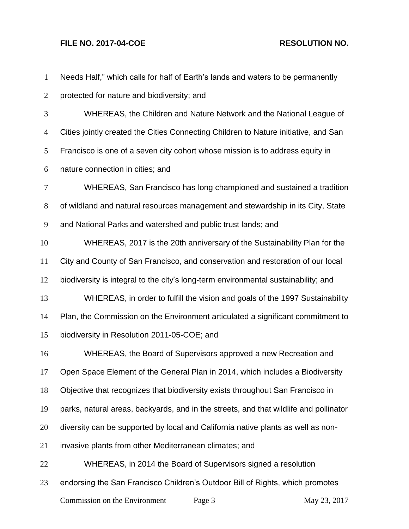| $\mathbf{1}$   | Needs Half," which calls for half of Earth's lands and waters to be permanently       |  |  |
|----------------|---------------------------------------------------------------------------------------|--|--|
| $\overline{2}$ | protected for nature and biodiversity; and                                            |  |  |
| 3              | WHEREAS, the Children and Nature Network and the National League of                   |  |  |
| $\overline{4}$ | Cities jointly created the Cities Connecting Children to Nature initiative, and San   |  |  |
| 5              | Francisco is one of a seven city cohort whose mission is to address equity in         |  |  |
| 6              | nature connection in cities; and                                                      |  |  |
| 7              | WHEREAS, San Francisco has long championed and sustained a tradition                  |  |  |
| $8\phantom{1}$ | of wildland and natural resources management and stewardship in its City, State       |  |  |
| 9              | and National Parks and watershed and public trust lands; and                          |  |  |
| 10             | WHEREAS, 2017 is the 20th anniversary of the Sustainability Plan for the              |  |  |
| 11             | City and County of San Francisco, and conservation and restoration of our local       |  |  |
| 12             | biodiversity is integral to the city's long-term environmental sustainability; and    |  |  |
| 13             | WHEREAS, in order to fulfill the vision and goals of the 1997 Sustainability          |  |  |
| 14             | Plan, the Commission on the Environment articulated a significant commitment to       |  |  |
| 15             | biodiversity in Resolution 2011-05-COE; and                                           |  |  |
| 16             | WHEREAS, the Board of Supervisors approved a new Recreation and                       |  |  |
| 17             | Open Space Element of the General Plan in 2014, which includes a Biodiversity         |  |  |
| 18             | Objective that recognizes that biodiversity exists throughout San Francisco in        |  |  |
| 19             | parks, natural areas, backyards, and in the streets, and that wildlife and pollinator |  |  |
| 20             | diversity can be supported by local and California native plants as well as non-      |  |  |
| 21             | invasive plants from other Mediterranean climates; and                                |  |  |
| 22             | WHEREAS, in 2014 the Board of Supervisors signed a resolution                         |  |  |
| 23             | endorsing the San Francisco Children's Outdoor Bill of Rights, which promotes         |  |  |
|                | Commission on the Environment<br>Page 3<br>May 23, 2017                               |  |  |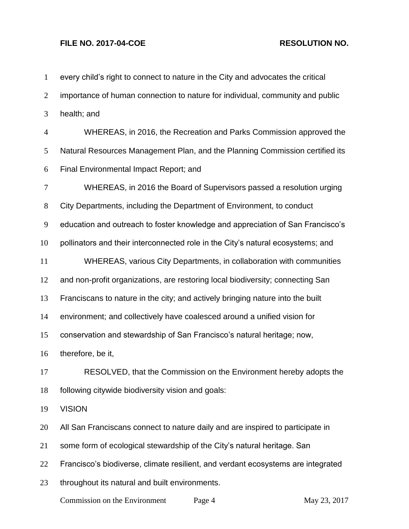| $\mathbf{1}$   | every child's right to connect to nature in the City and advocates the critical  |
|----------------|----------------------------------------------------------------------------------|
| $\overline{2}$ | importance of human connection to nature for individual, community and public    |
| 3              | health; and                                                                      |
| $\overline{4}$ | WHEREAS, in 2016, the Recreation and Parks Commission approved the               |
| 5              | Natural Resources Management Plan, and the Planning Commission certified its     |
| 6              | Final Environmental Impact Report; and                                           |
| $\tau$         | WHEREAS, in 2016 the Board of Supervisors passed a resolution urging             |
| $8\,$          | City Departments, including the Department of Environment, to conduct            |
| 9              | education and outreach to foster knowledge and appreciation of San Francisco's   |
| 10             | pollinators and their interconnected role in the City's natural ecosystems; and  |
| 11             | WHEREAS, various City Departments, in collaboration with communities             |
| 12             | and non-profit organizations, are restoring local biodiversity; connecting San   |
| 13             | Franciscans to nature in the city; and actively bringing nature into the built   |
| 14             | environment; and collectively have coalesced around a unified vision for         |
| 15             | conservation and stewardship of San Francisco's natural heritage; now,           |
| 16             | therefore, be it,                                                                |
| 17             | RESOLVED, that the Commission on the Environment hereby adopts the               |
| 18             | following citywide biodiversity vision and goals:                                |
| 19             | <b>VISION</b>                                                                    |
| 20             | All San Franciscans connect to nature daily and are inspired to participate in   |
| 21             | some form of ecological stewardship of the City's natural heritage. San          |
| 22             | Francisco's biodiverse, climate resilient, and verdant ecosystems are integrated |
| 23             | throughout its natural and built environments.                                   |
|                |                                                                                  |

Commission on the Environment Page 4 May 23, 2017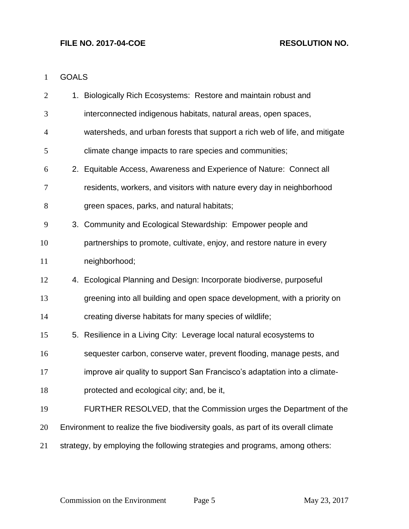### GOALS

| $\overline{2}$ | 1. Biologically Rich Ecosystems: Restore and maintain robust and                   |
|----------------|------------------------------------------------------------------------------------|
| 3              | interconnected indigenous habitats, natural areas, open spaces,                    |
| $\overline{4}$ | watersheds, and urban forests that support a rich web of life, and mitigate        |
| 5              | climate change impacts to rare species and communities;                            |
| 6              | 2. Equitable Access, Awareness and Experience of Nature: Connect all               |
| 7              | residents, workers, and visitors with nature every day in neighborhood             |
| 8              | green spaces, parks, and natural habitats;                                         |
| 9              | 3. Community and Ecological Stewardship: Empower people and                        |
| 10             | partnerships to promote, cultivate, enjoy, and restore nature in every             |
| 11             | neighborhood;                                                                      |
| 12             | 4. Ecological Planning and Design: Incorporate biodiverse, purposeful              |
| 13             | greening into all building and open space development, with a priority on          |
| 14             | creating diverse habitats for many species of wildlife;                            |
| 15             | 5. Resilience in a Living City: Leverage local natural ecosystems to               |
| 16             | sequester carbon, conserve water, prevent flooding, manage pests, and              |
| 17             | improve air quality to support San Francisco's adaptation into a climate-          |
| 18             | protected and ecological city; and, be it,                                         |
| 19             | FURTHER RESOLVED, that the Commission urges the Department of the                  |
| 20             | Environment to realize the five biodiversity goals, as part of its overall climate |
| 21             | strategy, by employing the following strategies and programs, among others:        |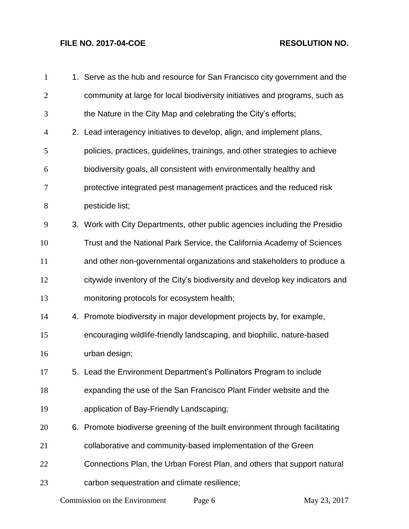| $\mathbf{1}$   | 1. Serve as the hub and resource for San Francisco city government and the   |
|----------------|------------------------------------------------------------------------------|
| $\mathbf{2}$   | community at large for local biodiversity initiatives and programs, such as  |
| 3              | the Nature in the City Map and celebrating the City's efforts;               |
| $\overline{4}$ | 2. Lead interagency initiatives to develop, align, and implement plans,      |
| 5              | policies, practices, guidelines, trainings, and other strategies to achieve  |
| 6              | biodiversity goals, all consistent with environmentally healthy and          |
| 7              | protective integrated pest management practices and the reduced risk         |
| $8\,$          | pesticide list;                                                              |
| 9              | 3. Work with City Departments, other public agencies including the Presidio  |
| 10             | Trust and the National Park Service, the California Academy of Sciences      |
| 11             | and other non-governmental organizations and stakeholders to produce a       |
| 12             | citywide inventory of the City's biodiversity and develop key indicators and |
| 13             | monitoring protocols for ecosystem health;                                   |
| 14             | 4. Promote biodiversity in major development projects by, for example,       |
| 15             | encouraging wildlife-friendly landscaping, and biophilic, nature-based       |
| 16             | urban design;                                                                |
| 17             | 5. Lead the Environment Department's Pollinators Program to include          |
| 18             | expanding the use of the San Francisco Plant Finder website and the          |
| 19             | application of Bay-Friendly Landscaping;                                     |
| 20             | 6. Promote biodiverse greening of the built environment through facilitating |
| 21             | collaborative and community-based implementation of the Green                |
| 22             | Connections Plan, the Urban Forest Plan, and others that support natural     |
| 23             | carbon sequestration and climate resilience;                                 |
|                |                                                                              |